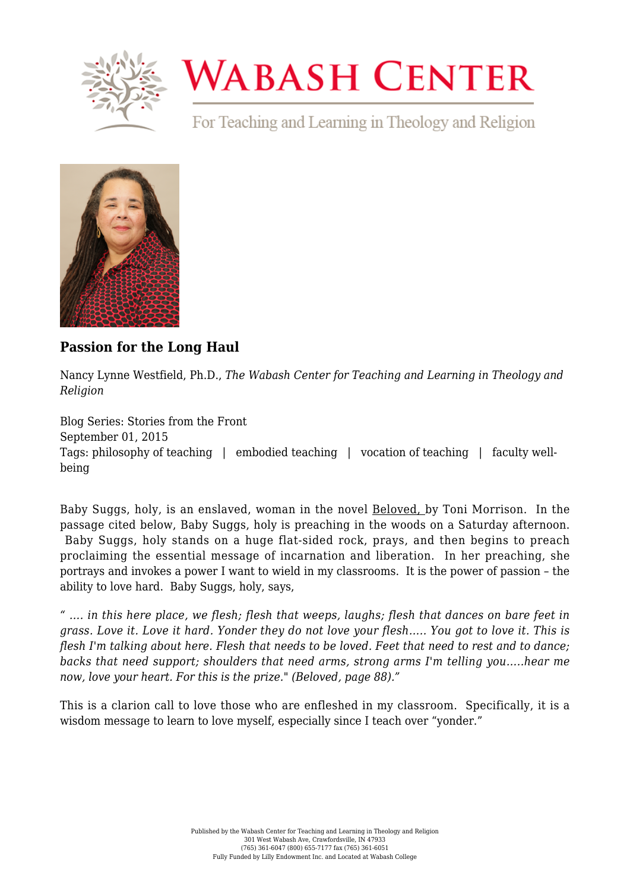

## **WABASH CENTER**

For Teaching and Learning in Theology and Religion



## **[Passion for the Long Haul](https://www.wabashcenter.wabash.edu/2015/09/passion-for-the-long-haul/)**

Nancy Lynne Westfield, Ph.D., *The Wabash Center for Teaching and Learning in Theology and Religion*

Blog Series: Stories from the Front September 01, 2015 Tags: philosophy of teaching | embodied teaching | vocation of teaching | faculty wellbeing

Baby Suggs, holy, is an enslaved, woman in the novel Beloved, by Toni Morrison. In the passage cited below, Baby Suggs, holy is preaching in the woods on a Saturday afternoon. Baby Suggs, holy stands on a huge flat-sided rock, prays, and then begins to preach proclaiming the essential message of incarnation and liberation. In her preaching, she portrays and invokes a power I want to wield in my classrooms. It is the power of passion – the ability to love hard. Baby Suggs, holy, says,

*" …. in this here place, we flesh; flesh that weeps, laughs; flesh that dances on bare feet in grass. Love it. Love it hard. Yonder they do not love your flesh….. You got to love it. This is flesh I'm talking about here. Flesh that needs to be loved. Feet that need to rest and to dance; backs that need support; shoulders that need arms, strong arms I'm telling you…..hear me now, love your heart. For this is the prize." (Beloved, page 88)."*

This is a clarion call to love those who are enfleshed in my classroom. Specifically, it is a wisdom message to learn to love myself, especially since I teach over "yonder."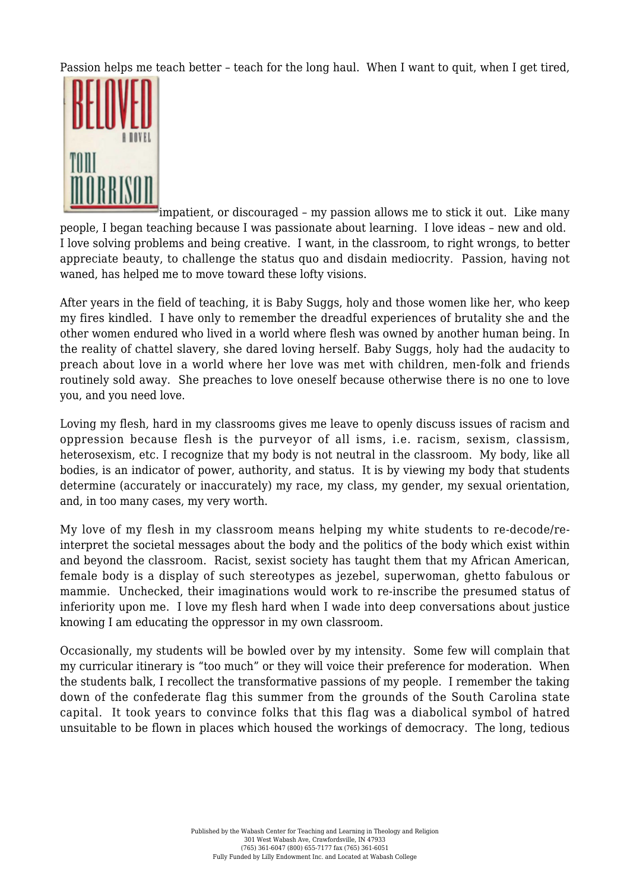Passion helps me teach better – teach for the long haul. When I want to quit, when I get tired,



impatient, or discouraged – my passion allows me to stick it out. Like many people, I began teaching because I was passionate about learning. I love ideas – new and old. I love solving problems and being creative. I want, in the classroom, to right wrongs, to better appreciate beauty, to challenge the status quo and disdain mediocrity. Passion, having not waned, has helped me to move toward these lofty visions.

After years in the field of teaching, it is Baby Suggs, holy and those women like her, who keep my fires kindled. I have only to remember the dreadful experiences of brutality she and the other women endured who lived in a world where flesh was owned by another human being. In the reality of chattel slavery, she dared loving herself. Baby Suggs, holy had the audacity to preach about love in a world where her love was met with children, men-folk and friends routinely sold away. She preaches to love oneself because otherwise there is no one to love you, and you need love.

Loving my flesh, hard in my classrooms gives me leave to openly discuss issues of racism and oppression because flesh is the purveyor of all isms, i.e. racism, sexism, classism, heterosexism, etc. I recognize that my body is not neutral in the classroom. My body, like all bodies, is an indicator of power, authority, and status. It is by viewing my body that students determine (accurately or inaccurately) my race, my class, my gender, my sexual orientation, and, in too many cases, my very worth.

My love of my flesh in my classroom means helping my white students to re-decode/reinterpret the societal messages about the body and the politics of the body which exist within and beyond the classroom. Racist, sexist society has taught them that my African American, female body is a display of such stereotypes as jezebel, superwoman, ghetto fabulous or mammie. Unchecked, their imaginations would work to re-inscribe the presumed status of inferiority upon me. I love my flesh hard when I wade into deep conversations about justice knowing I am educating the oppressor in my own classroom.

Occasionally, my students will be bowled over by my intensity. Some few will complain that my curricular itinerary is "too much" or they will voice their preference for moderation. When the students balk, I recollect the transformative passions of my people. I remember the taking down of the confederate flag this summer from the grounds of the South Carolina state capital. It took years to convince folks that this flag was a diabolical symbol of hatred unsuitable to be flown in places which housed the workings of democracy. The long, tedious